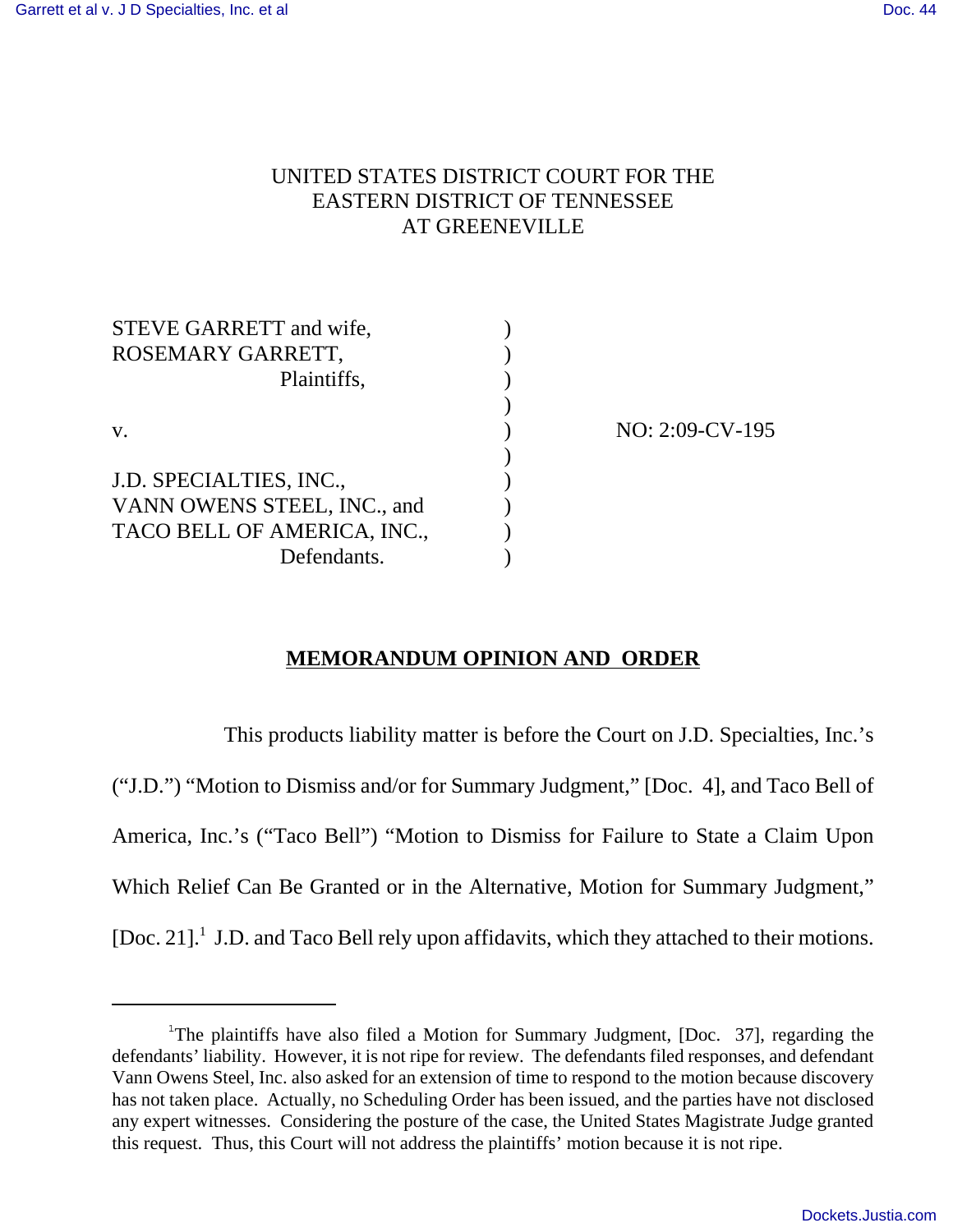# UNITED STATES DISTRICT COURT FOR THE EASTERN DISTRICT OF TENNESSEE AT GREENEVILLE

| STEVE GARRETT and wife,     |  |
|-----------------------------|--|
| ROSEMARY GARRETT,           |  |
| Plaintiffs,                 |  |
|                             |  |
| V.                          |  |
|                             |  |
| J.D. SPECIALTIES, INC.,     |  |
| VANN OWENS STEEL, INC., and |  |
| TACO BELL OF AMERICA, INC., |  |
| Defendants.                 |  |

NO: 2:09-CV-195

## **MEMORANDUM OPINION AND ORDER**

This products liability matter is before the Court on J.D. Specialties, Inc.'s ("J.D.") "Motion to Dismiss and/or for Summary Judgment," [Doc. 4], and Taco Bell of America, Inc.'s ("Taco Bell") "Motion to Dismiss for Failure to State a Claim Upon Which Relief Can Be Granted or in the Alternative, Motion for Summary Judgment," [Doc. 21].<sup>1</sup> J.D. and Taco Bell rely upon affidavits, which they attached to their motions.

<sup>&</sup>lt;sup>1</sup>The plaintiffs have also filed a Motion for Summary Judgment, [Doc. 37], regarding the defendants' liability. However, it is not ripe for review. The defendants filed responses, and defendant Vann Owens Steel, Inc. also asked for an extension of time to respond to the motion because discovery has not taken place. Actually, no Scheduling Order has been issued, and the parties have not disclosed any expert witnesses. Considering the posture of the case, the United States Magistrate Judge granted this request. Thus, this Court will not address the plaintiffs' motion because it is not ripe.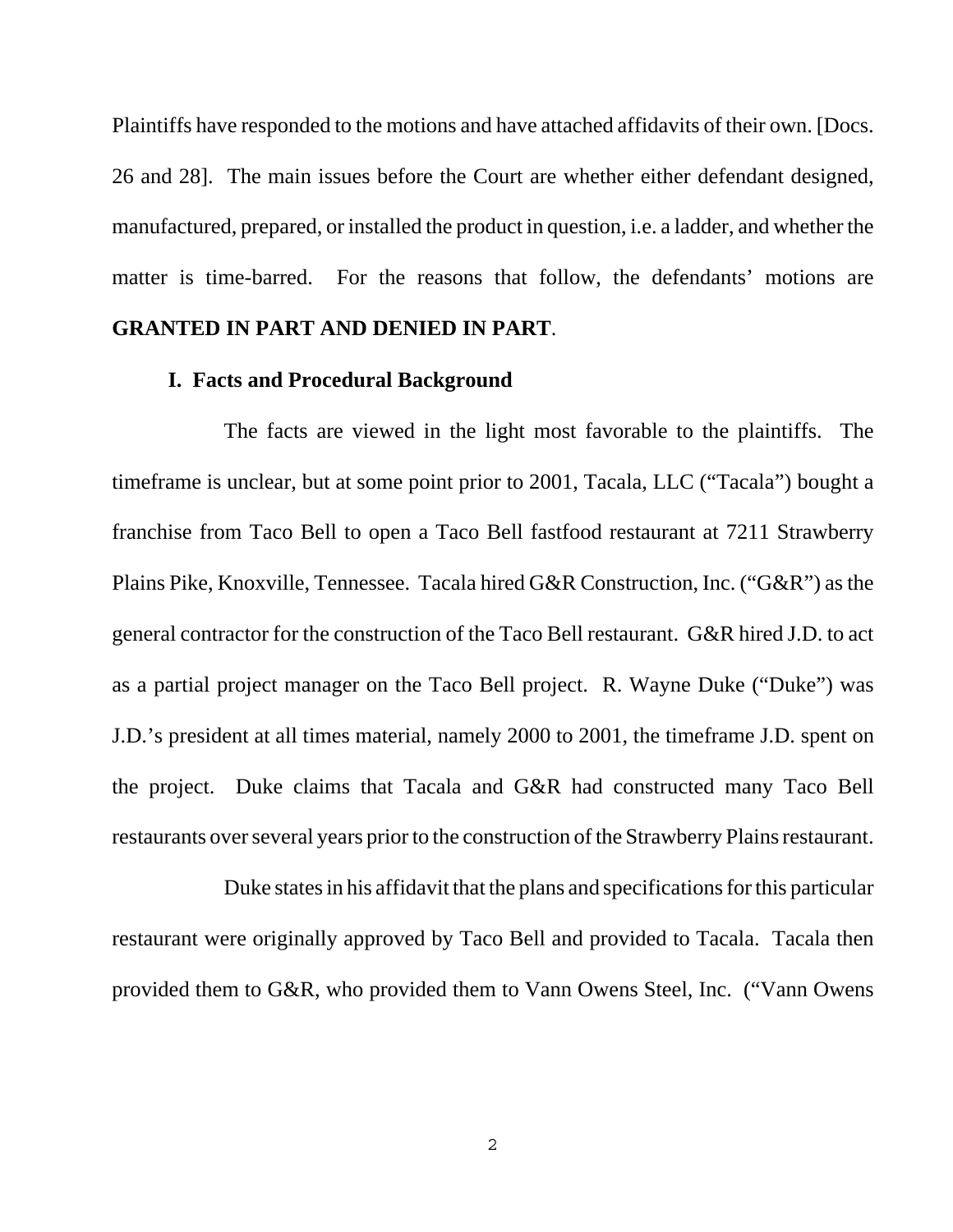Plaintiffs have responded to the motions and have attached affidavits of their own. [Docs. 26 and 28]. The main issues before the Court are whether either defendant designed, manufactured, prepared, or installed the product in question, i.e. a ladder, and whether the matter is time-barred. For the reasons that follow, the defendants' motions are **GRANTED IN PART AND DENIED IN PART**.

#### **I. Facts and Procedural Background**

The facts are viewed in the light most favorable to the plaintiffs. The timeframe is unclear, but at some point prior to 2001, Tacala, LLC ("Tacala") bought a franchise from Taco Bell to open a Taco Bell fastfood restaurant at 7211 Strawberry Plains Pike, Knoxville, Tennessee. Tacala hired G&R Construction, Inc. ("G&R") as the general contractor for the construction of the Taco Bell restaurant. G&R hired J.D. to act as a partial project manager on the Taco Bell project. R. Wayne Duke ("Duke") was J.D.'s president at all times material, namely 2000 to 2001, the timeframe J.D. spent on the project. Duke claims that Tacala and G&R had constructed many Taco Bell restaurants over several years prior to the construction of the Strawberry Plains restaurant.

Duke states in his affidavit that the plans and specifications for this particular restaurant were originally approved by Taco Bell and provided to Tacala. Tacala then provided them to G&R, who provided them to Vann Owens Steel, Inc. ("Vann Owens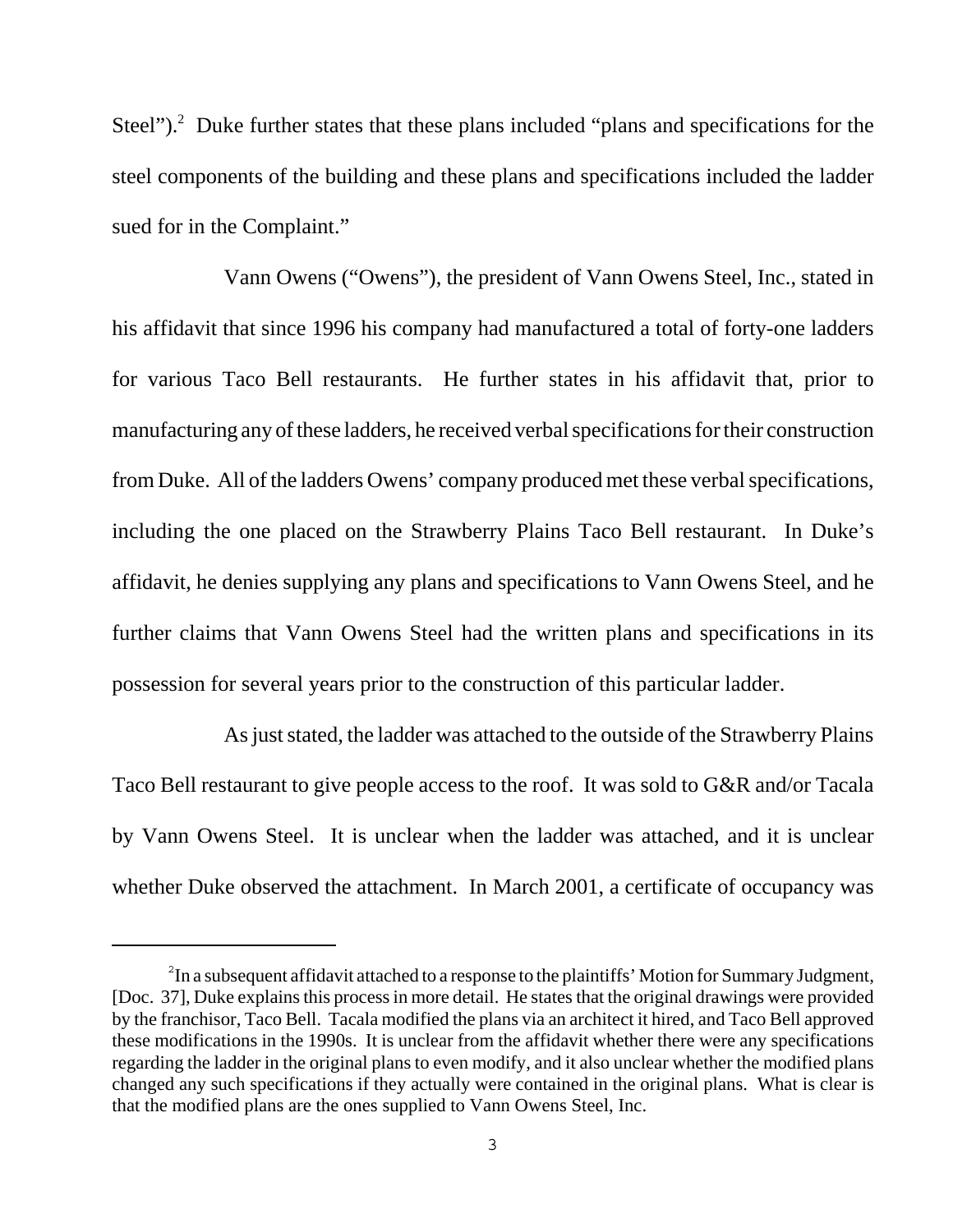Steel"). $^2$  Duke further states that these plans included "plans and specifications for the steel components of the building and these plans and specifications included the ladder sued for in the Complaint."

Vann Owens ("Owens"), the president of Vann Owens Steel, Inc., stated in his affidavit that since 1996 his company had manufactured a total of forty-one ladders for various Taco Bell restaurants. He further states in his affidavit that, prior to manufacturing any of these ladders, he received verbal specifications for their construction from Duke. All of the ladders Owens' company produced met these verbal specifications, including the one placed on the Strawberry Plains Taco Bell restaurant. In Duke's affidavit, he denies supplying any plans and specifications to Vann Owens Steel, and he further claims that Vann Owens Steel had the written plans and specifications in its possession for several years prior to the construction of this particular ladder.

As just stated, the ladder was attached to the outside of the Strawberry Plains Taco Bell restaurant to give people access to the roof. It was sold to G&R and/or Tacala by Vann Owens Steel. It is unclear when the ladder was attached, and it is unclear whether Duke observed the attachment. In March 2001, a certificate of occupancy was

 $2^2$ In a subsequent affidavit attached to a response to the plaintiffs' Motion for Summary Judgment, [Doc. 37], Duke explains this process in more detail. He states that the original drawings were provided by the franchisor, Taco Bell. Tacala modified the plans via an architect it hired, and Taco Bell approved these modifications in the 1990s. It is unclear from the affidavit whether there were any specifications regarding the ladder in the original plans to even modify, and it also unclear whether the modified plans changed any such specifications if they actually were contained in the original plans. What is clear is that the modified plans are the ones supplied to Vann Owens Steel, Inc.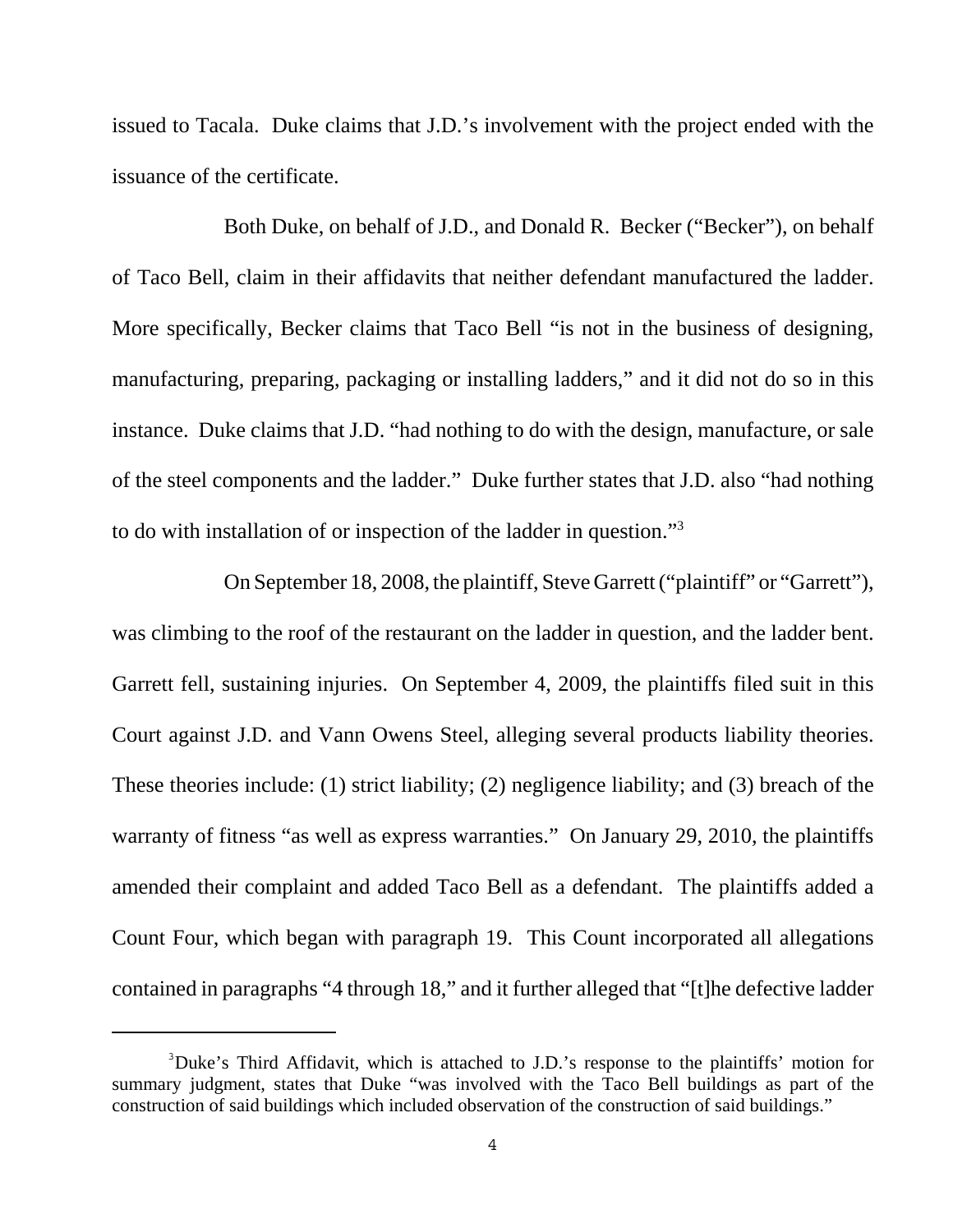issued to Tacala. Duke claims that J.D.'s involvement with the project ended with the issuance of the certificate.

Both Duke, on behalf of J.D., and Donald R. Becker ("Becker"), on behalf of Taco Bell, claim in their affidavits that neither defendant manufactured the ladder. More specifically, Becker claims that Taco Bell "is not in the business of designing, manufacturing, preparing, packaging or installing ladders," and it did not do so in this instance. Duke claims that J.D. "had nothing to do with the design, manufacture, or sale of the steel components and the ladder." Duke further states that J.D. also "had nothing to do with installation of or inspection of the ladder in question."3

On September 18, 2008, the plaintiff, Steve Garrett ("plaintiff" or "Garrett"), was climbing to the roof of the restaurant on the ladder in question, and the ladder bent. Garrett fell, sustaining injuries. On September 4, 2009, the plaintiffs filed suit in this Court against J.D. and Vann Owens Steel, alleging several products liability theories. These theories include: (1) strict liability; (2) negligence liability; and (3) breach of the warranty of fitness "as well as express warranties." On January 29, 2010, the plaintiffs amended their complaint and added Taco Bell as a defendant. The plaintiffs added a Count Four, which began with paragraph 19. This Count incorporated all allegations contained in paragraphs "4 through 18," and it further alleged that "[t]he defective ladder

<sup>&</sup>lt;sup>3</sup>Duke's Third Affidavit, which is attached to J.D.'s response to the plaintiffs' motion for summary judgment, states that Duke "was involved with the Taco Bell buildings as part of the construction of said buildings which included observation of the construction of said buildings."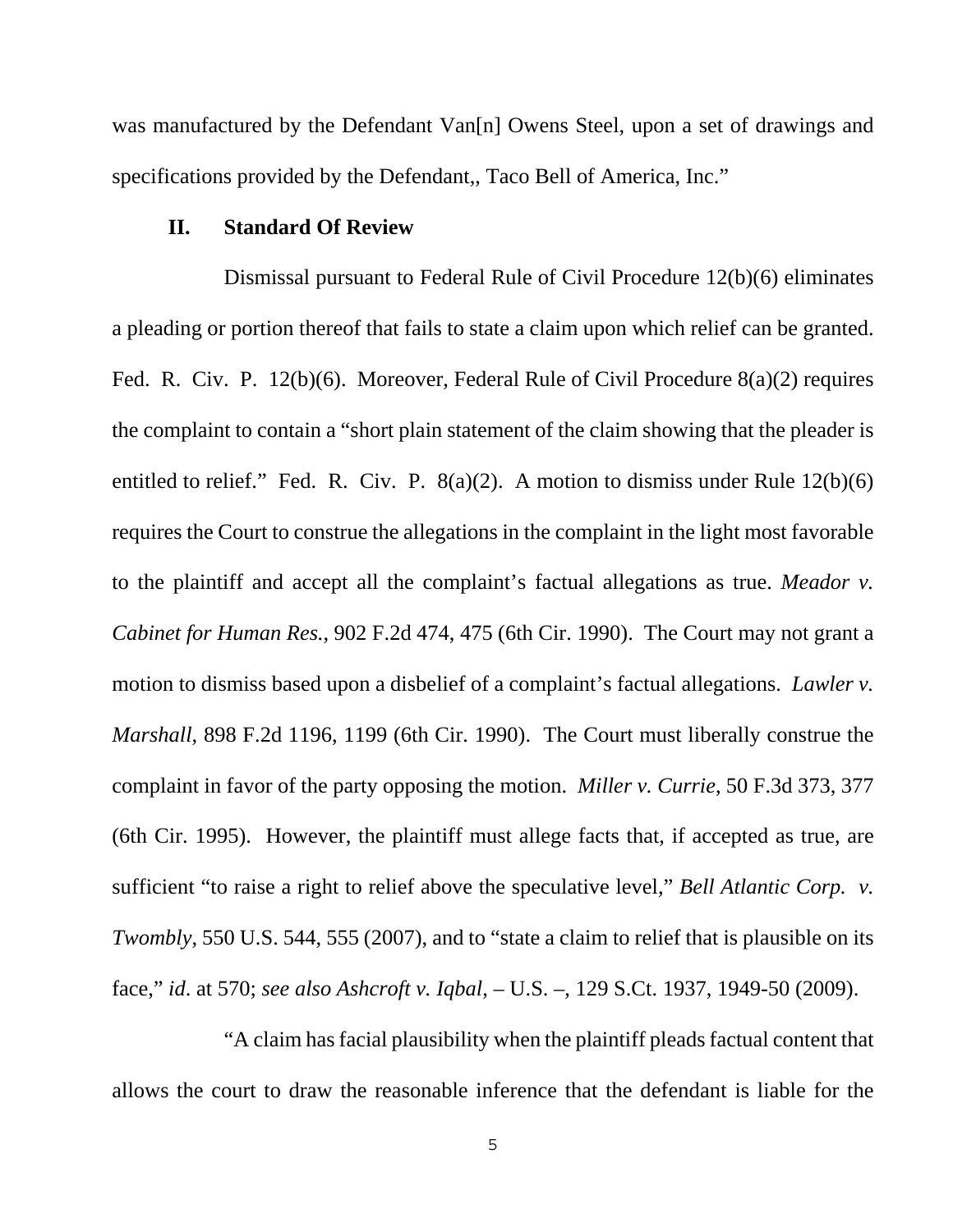was manufactured by the Defendant Van[n] Owens Steel, upon a set of drawings and specifications provided by the Defendant,, Taco Bell of America, Inc."

#### **II. Standard Of Review**

Dismissal pursuant to Federal Rule of Civil Procedure 12(b)(6) eliminates a pleading or portion thereof that fails to state a claim upon which relief can be granted. Fed. R. Civ. P. 12(b)(6). Moreover, Federal Rule of Civil Procedure 8(a)(2) requires the complaint to contain a "short plain statement of the claim showing that the pleader is entitled to relief." Fed. R. Civ. P.  $8(a)(2)$ . A motion to dismiss under Rule  $12(b)(6)$ requires the Court to construe the allegations in the complaint in the light most favorable to the plaintiff and accept all the complaint's factual allegations as true. *Meador v. Cabinet for Human Res.*, 902 F.2d 474, 475 (6th Cir. 1990). The Court may not grant a motion to dismiss based upon a disbelief of a complaint's factual allegations. *Lawler v. Marshall*, 898 F.2d 1196, 1199 (6th Cir. 1990). The Court must liberally construe the complaint in favor of the party opposing the motion. *Miller v. Currie*, 50 F.3d 373, 377 (6th Cir. 1995). However, the plaintiff must allege facts that, if accepted as true, are sufficient "to raise a right to relief above the speculative level," *Bell Atlantic Corp. v. Twombly*, 550 U.S. 544, 555 (2007), and to "state a claim to relief that is plausible on its face," *id*. at 570; *see also Ashcroft v. Iqbal*, – U.S. –, 129 S.Ct. 1937, 1949-50 (2009).

"A claim has facial plausibility when the plaintiff pleads factual content that allows the court to draw the reasonable inference that the defendant is liable for the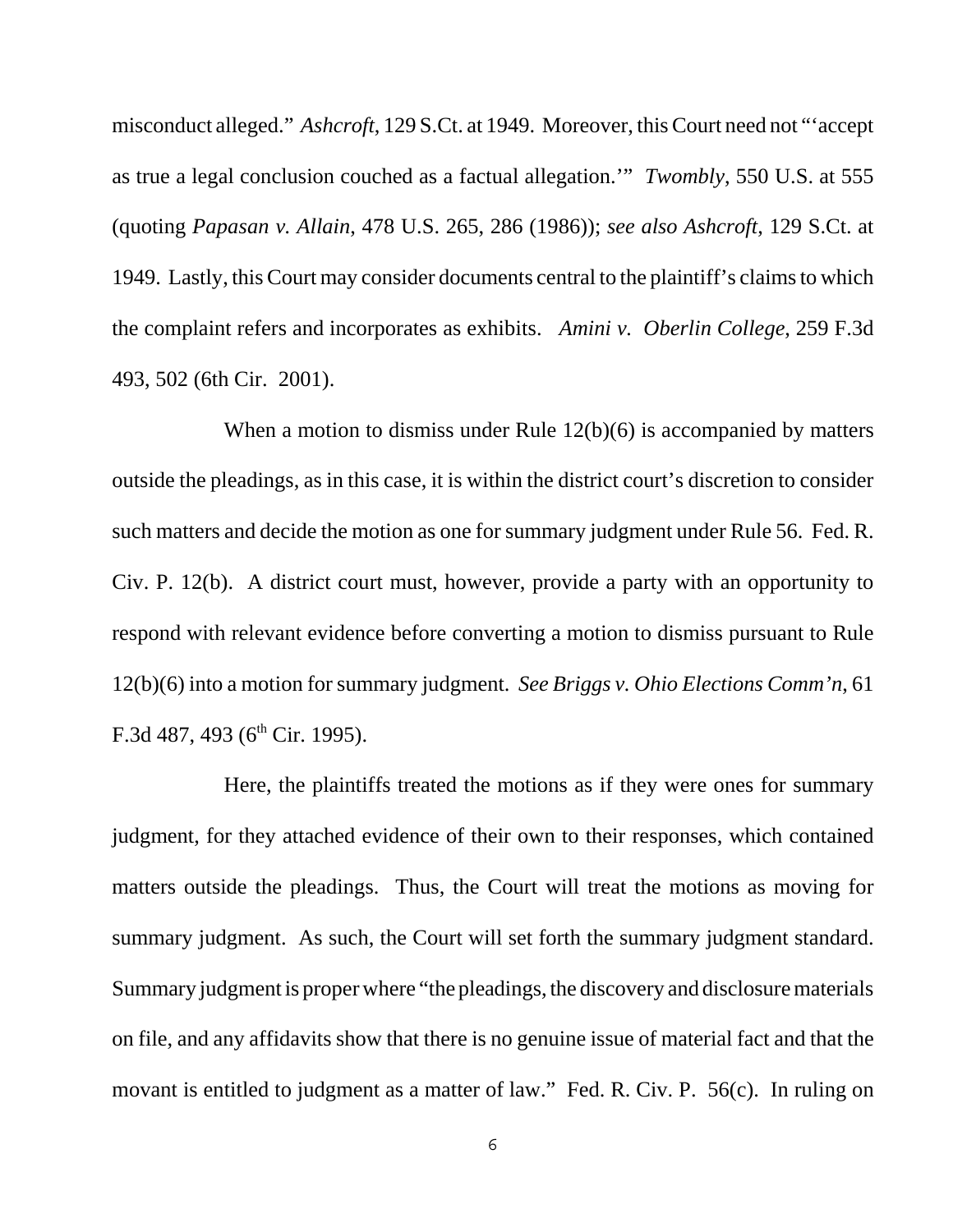misconduct alleged." *Ashcroft*, 129 S.Ct. at 1949. Moreover, this Court need not "'accept as true a legal conclusion couched as a factual allegation.'" *Twombly*, 550 U.S. at 555 (quoting *Papasan v. Allain*, 478 U.S. 265, 286 (1986)); *see also Ashcroft*, 129 S.Ct. at 1949. Lastly, this Court may consider documents central to the plaintiff's claims to which the complaint refers and incorporates as exhibits. *Amini v. Oberlin College*, 259 F.3d 493, 502 (6th Cir. 2001).

When a motion to dismiss under Rule 12(b)(6) is accompanied by matters outside the pleadings, as in this case, it is within the district court's discretion to consider such matters and decide the motion as one for summary judgment under Rule 56. Fed. R. Civ. P. 12(b). A district court must, however, provide a party with an opportunity to respond with relevant evidence before converting a motion to dismiss pursuant to Rule 12(b)(6) into a motion for summary judgment. *See Briggs v. Ohio Elections Comm'n*, 61 F.3d 487, 493 ( $6<sup>th</sup>$  Cir. 1995).

Here, the plaintiffs treated the motions as if they were ones for summary judgment, for they attached evidence of their own to their responses, which contained matters outside the pleadings. Thus, the Court will treat the motions as moving for summary judgment. As such, the Court will set forth the summary judgment standard. Summary judgment is proper where "the pleadings, the discovery and disclosure materials on file, and any affidavits show that there is no genuine issue of material fact and that the movant is entitled to judgment as a matter of law." Fed. R. Civ. P. 56(c). In ruling on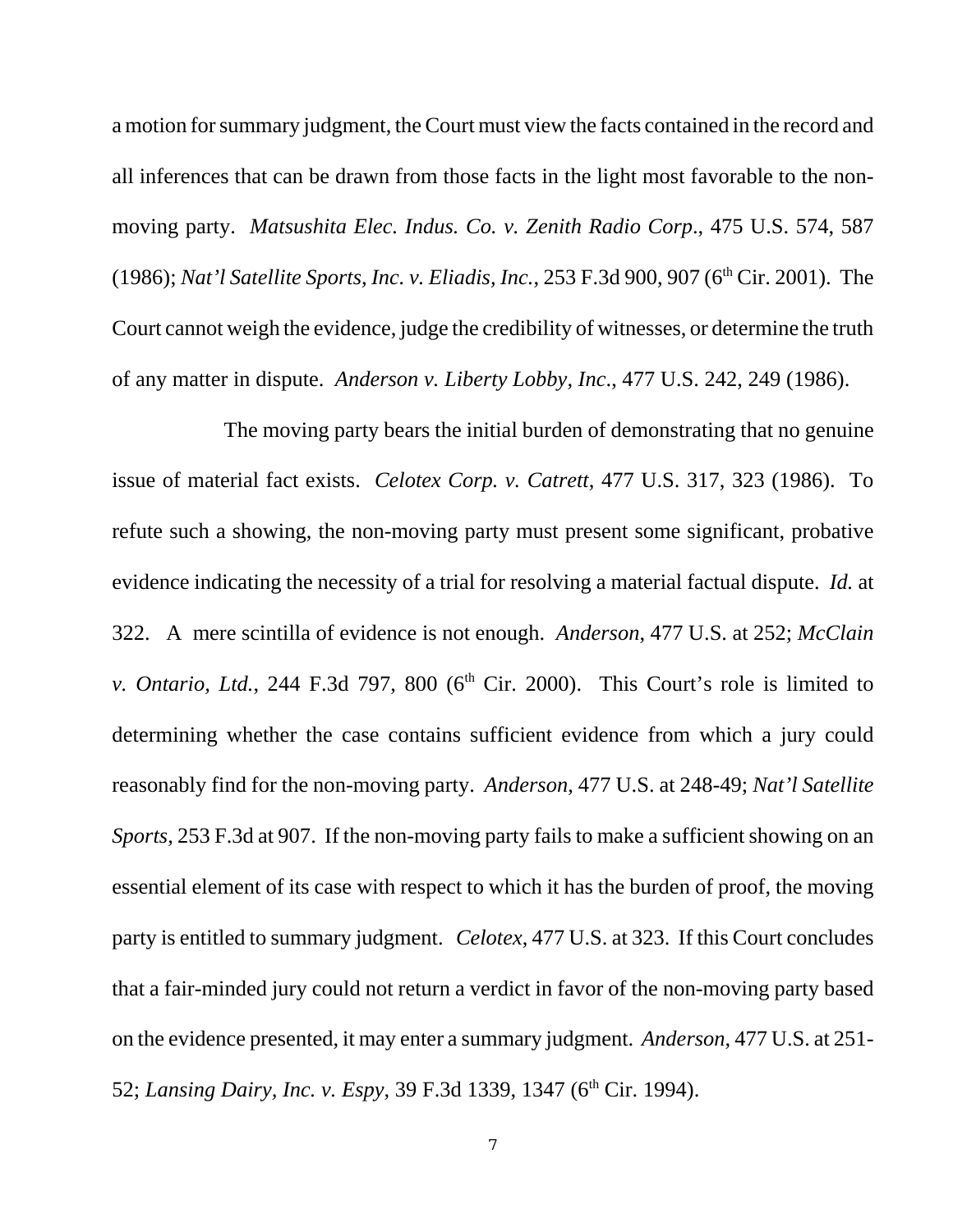a motion for summary judgment, the Court must view the facts contained in the record and all inferences that can be drawn from those facts in the light most favorable to the nonmoving party. *Matsushita Elec. Indus. Co. v. Zenith Radio Corp*., 475 U.S. 574, 587 (1986); *Nat'l Satellite Sports, Inc. v. Eliadis, Inc.*, 253 F.3d 900, 907 (6<sup>th</sup> Cir. 2001). The Court cannot weigh the evidence, judge the credibility of witnesses, or determine the truth of any matter in dispute. *Anderson v. Liberty Lobby, Inc*., 477 U.S. 242, 249 (1986).

The moving party bears the initial burden of demonstrating that no genuine issue of material fact exists. *Celotex Corp. v. Catrett*, 477 U.S. 317, 323 (1986). To refute such a showing, the non-moving party must present some significant, probative evidence indicating the necessity of a trial for resolving a material factual dispute. *Id.* at 322. A mere scintilla of evidence is not enough. *Anderson*, 477 U.S. at 252; *McClain v. Ontario, Ltd.*, 244 F.3d 797, 800 ( $6<sup>th</sup>$  Cir. 2000). This Court's role is limited to determining whether the case contains sufficient evidence from which a jury could reasonably find for the non-moving party. *Anderson*, 477 U.S. at 248-49; *Nat'l Satellite Sports*, 253 F.3d at 907. If the non-moving party fails to make a sufficient showing on an essential element of its case with respect to which it has the burden of proof, the moving party is entitled to summary judgment. *Celotex*, 477 U.S. at 323. If this Court concludes that a fair-minded jury could not return a verdict in favor of the non-moving party based on the evidence presented, it may enter a summary judgment. *Anderson*, 477 U.S. at 251- 52; *Lansing Dairy, Inc. v. Espy*, 39 F.3d 1339, 1347 (6<sup>th</sup> Cir. 1994).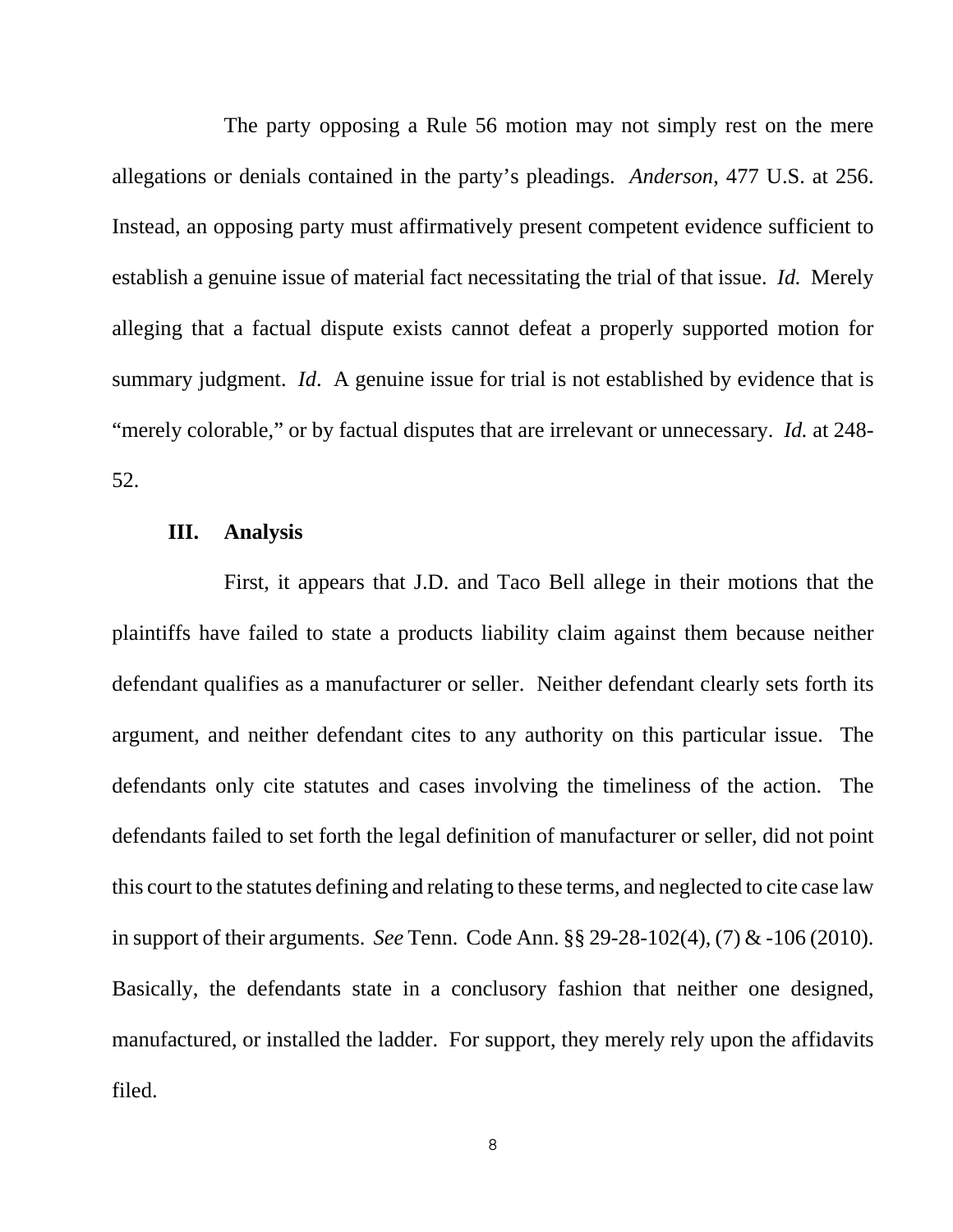The party opposing a Rule 56 motion may not simply rest on the mere allegations or denials contained in the party's pleadings. *Anderson*, 477 U.S. at 256. Instead, an opposing party must affirmatively present competent evidence sufficient to establish a genuine issue of material fact necessitating the trial of that issue. *Id.* Merely alleging that a factual dispute exists cannot defeat a properly supported motion for summary judgment. *Id*. A genuine issue for trial is not established by evidence that is "merely colorable," or by factual disputes that are irrelevant or unnecessary. *Id.* at 248- 52.

#### **III. Analysis**

First, it appears that J.D. and Taco Bell allege in their motions that the plaintiffs have failed to state a products liability claim against them because neither defendant qualifies as a manufacturer or seller. Neither defendant clearly sets forth its argument, and neither defendant cites to any authority on this particular issue. The defendants only cite statutes and cases involving the timeliness of the action. The defendants failed to set forth the legal definition of manufacturer or seller, did not point this court to the statutes defining and relating to these terms, and neglected to cite case law in support of their arguments. *See* Tenn. Code Ann. §§ 29-28-102(4), (7) & -106 (2010). Basically, the defendants state in a conclusory fashion that neither one designed, manufactured, or installed the ladder. For support, they merely rely upon the affidavits filed.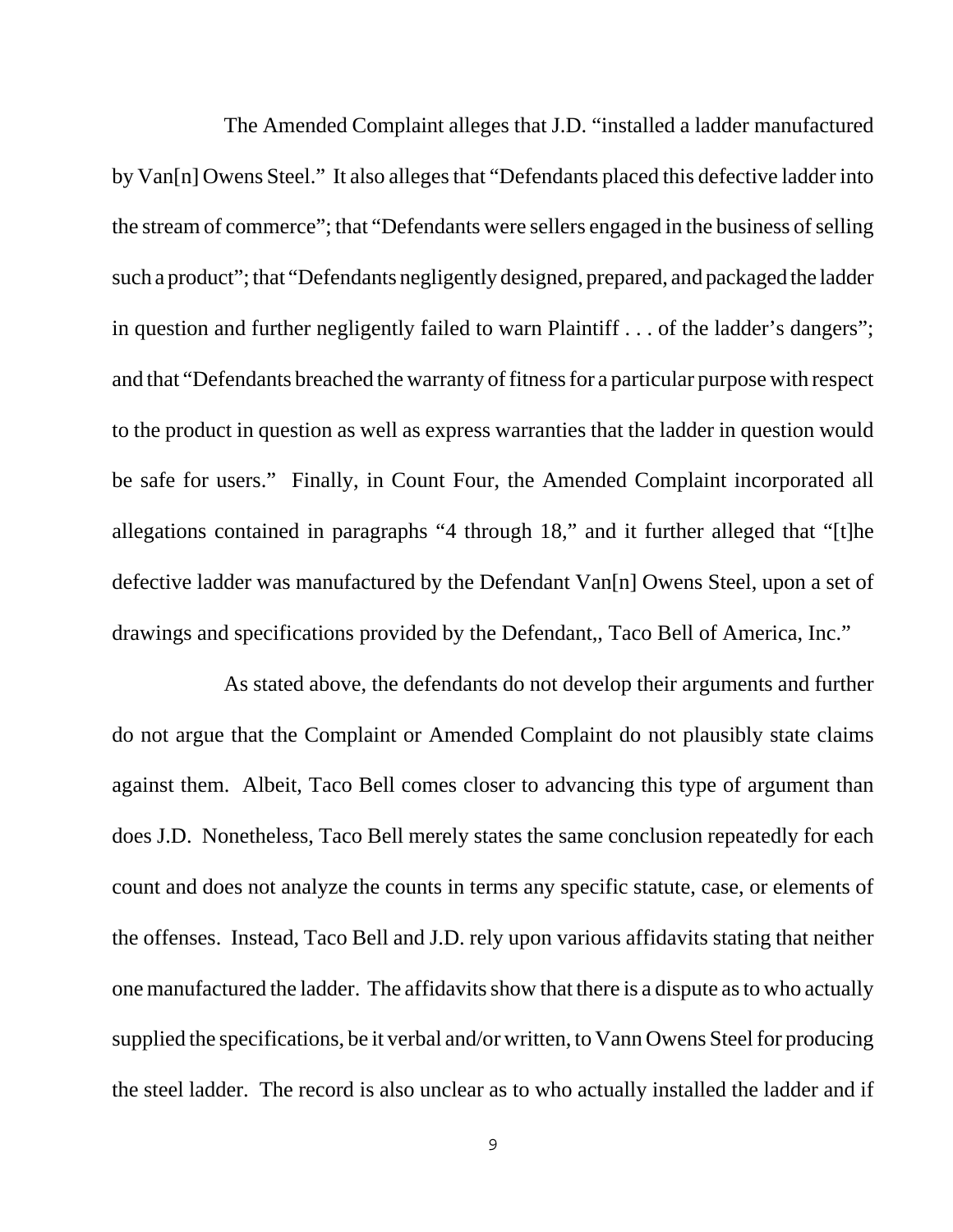The Amended Complaint alleges that J.D. "installed a ladder manufactured by Van[n] Owens Steel." It also alleges that "Defendants placed this defective ladder into the stream of commerce"; that "Defendants were sellers engaged in the business of selling such a product"; that "Defendants negligently designed, prepared, and packaged the ladder in question and further negligently failed to warn Plaintiff . . . of the ladder's dangers"; and that "Defendants breached the warranty of fitness for a particular purpose with respect to the product in question as well as express warranties that the ladder in question would be safe for users." Finally, in Count Four, the Amended Complaint incorporated all allegations contained in paragraphs "4 through 18," and it further alleged that "[t]he defective ladder was manufactured by the Defendant Van[n] Owens Steel, upon a set of drawings and specifications provided by the Defendant,, Taco Bell of America, Inc."

As stated above, the defendants do not develop their arguments and further do not argue that the Complaint or Amended Complaint do not plausibly state claims against them. Albeit, Taco Bell comes closer to advancing this type of argument than does J.D. Nonetheless, Taco Bell merely states the same conclusion repeatedly for each count and does not analyze the counts in terms any specific statute, case, or elements of the offenses. Instead, Taco Bell and J.D. rely upon various affidavits stating that neither one manufactured the ladder. The affidavits show that there is a dispute as to who actually supplied the specifications, be it verbal and/or written, to Vann Owens Steel for producing the steel ladder. The record is also unclear as to who actually installed the ladder and if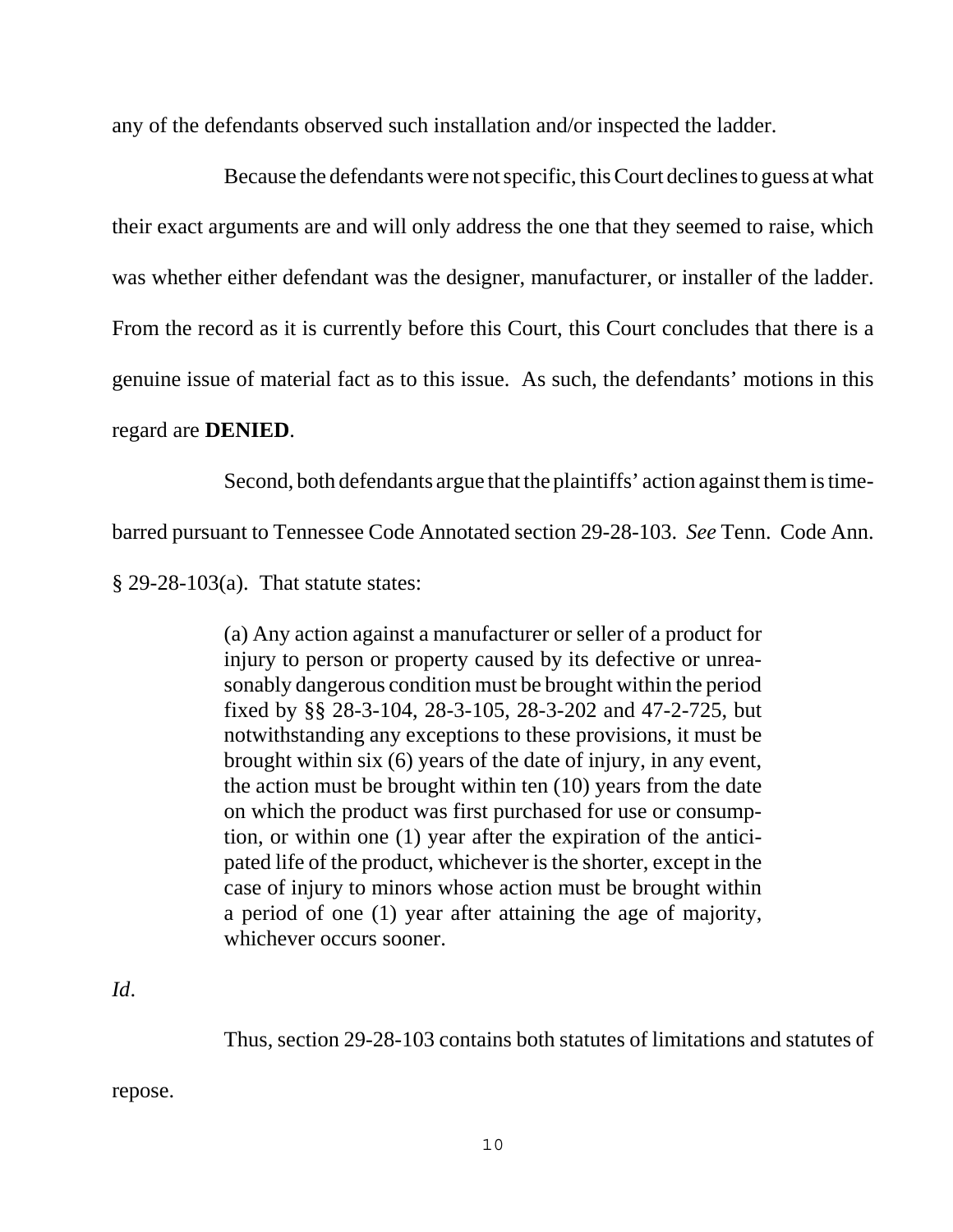any of the defendants observed such installation and/or inspected the ladder.

Because the defendants were not specific, this Court declines to guess at what their exact arguments are and will only address the one that they seemed to raise, which was whether either defendant was the designer, manufacturer, or installer of the ladder. From the record as it is currently before this Court, this Court concludes that there is a genuine issue of material fact as to this issue. As such, the defendants' motions in this regard are **DENIED**.

Second, both defendants argue that the plaintiffs' action against them is time-

barred pursuant to Tennessee Code Annotated section 29-28-103. *See* Tenn. Code Ann.

§ 29-28-103(a). That statute states:

(a) Any action against a manufacturer or seller of a product for injury to person or property caused by its defective or unreasonably dangerous condition must be brought within the period fixed by §§ 28-3-104, 28-3-105, 28-3-202 and 47-2-725, but notwithstanding any exceptions to these provisions, it must be brought within six (6) years of the date of injury, in any event, the action must be brought within ten (10) years from the date on which the product was first purchased for use or consumption, or within one (1) year after the expiration of the anticipated life of the product, whichever is the shorter, except in the case of injury to minors whose action must be brought within a period of one (1) year after attaining the age of majority, whichever occurs sooner.

*Id*.

Thus, section 29-28-103 contains both statutes of limitations and statutes of

repose.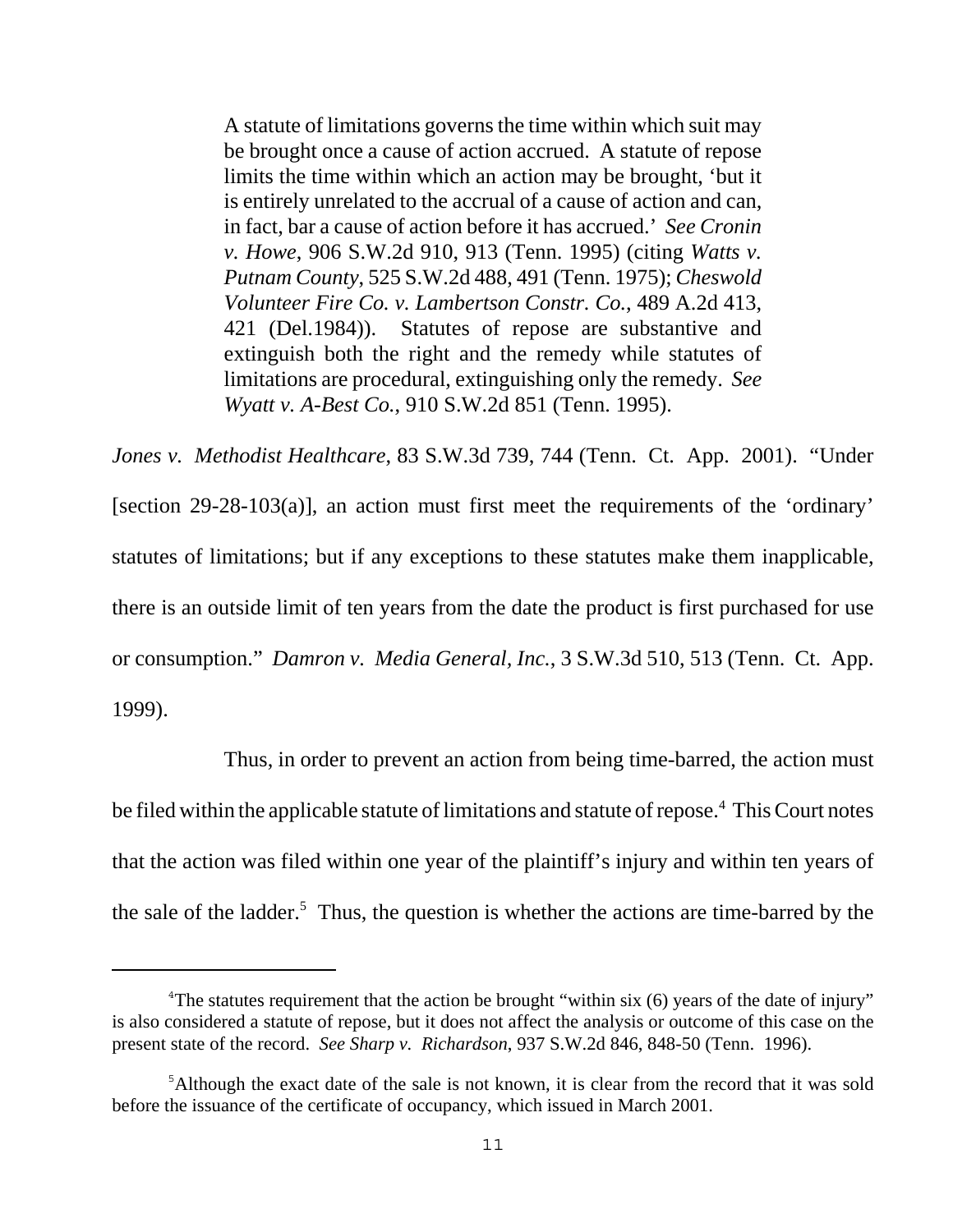A statute of limitations governs the time within which suit may be brought once a cause of action accrued. A statute of repose limits the time within which an action may be brought, 'but it is entirely unrelated to the accrual of a cause of action and can, in fact, bar a cause of action before it has accrued.' *See Cronin v. Howe*, 906 S.W.2d 910, 913 (Tenn. 1995) (citing *Watts v. Putnam County*, 525 S.W.2d 488, 491 (Tenn. 1975); *Cheswold Volunteer Fire Co. v. Lambertson Constr. Co.*, 489 A.2d 413, 421 (Del.1984)). Statutes of repose are substantive and extinguish both the right and the remedy while statutes of limitations are procedural, extinguishing only the remedy. *See Wyatt v. A-Best Co.*, 910 S.W.2d 851 (Tenn. 1995).

*Jones v. Methodist Healthcare*, 83 S.W.3d 739, 744 (Tenn. Ct. App. 2001). "Under [section 29-28-103(a)], an action must first meet the requirements of the 'ordinary' statutes of limitations; but if any exceptions to these statutes make them inapplicable, there is an outside limit of ten years from the date the product is first purchased for use or consumption." *Damron v. Media General, Inc.*, 3 S.W.3d 510, 513 (Tenn. Ct. App. 1999).

Thus, in order to prevent an action from being time-barred, the action must be filed within the applicable statute of limitations and statute of repose.<sup>4</sup> This Court notes that the action was filed within one year of the plaintiff's injury and within ten years of the sale of the ladder.<sup>5</sup> Thus, the question is whether the actions are time-barred by the

<sup>&</sup>lt;sup>4</sup>The statutes requirement that the action be brought "within six  $(6)$  years of the date of injury" is also considered a statute of repose, but it does not affect the analysis or outcome of this case on the present state of the record. *See Sharp v. Richardson*, 937 S.W.2d 846, 848-50 (Tenn. 1996).

<sup>&</sup>lt;sup>5</sup>Although the exact date of the sale is not known, it is clear from the record that it was sold before the issuance of the certificate of occupancy, which issued in March 2001.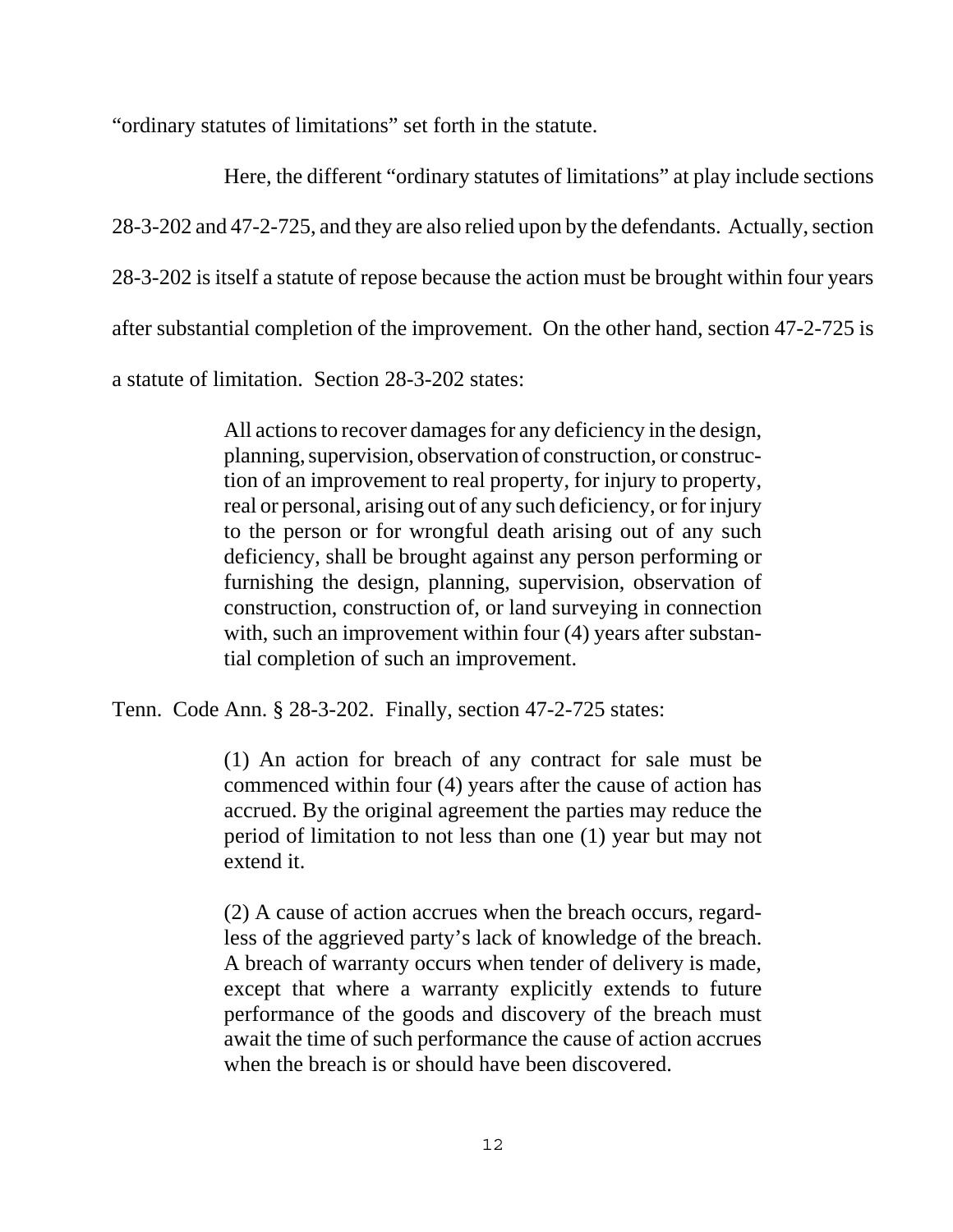"ordinary statutes of limitations" set forth in the statute.

Here, the different "ordinary statutes of limitations" at play include sections 28-3-202 and 47-2-725, and they are also relied upon by the defendants. Actually, section 28-3-202 is itself a statute of repose because the action must be brought within four years after substantial completion of the improvement. On the other hand, section 47-2-725 is a statute of limitation. Section 28-3-202 states:

> All actions to recover damages for any deficiency in the design, planning, supervision, observation of construction, or construction of an improvement to real property, for injury to property, real or personal, arising out of any such deficiency, or for injury to the person or for wrongful death arising out of any such deficiency, shall be brought against any person performing or furnishing the design, planning, supervision, observation of construction, construction of, or land surveying in connection with, such an improvement within four (4) years after substantial completion of such an improvement.

Tenn. Code Ann. § 28-3-202. Finally, section 47-2-725 states:

(1) An action for breach of any contract for sale must be commenced within four (4) years after the cause of action has accrued. By the original agreement the parties may reduce the period of limitation to not less than one (1) year but may not extend it.

(2) A cause of action accrues when the breach occurs, regardless of the aggrieved party's lack of knowledge of the breach. A breach of warranty occurs when tender of delivery is made, except that where a warranty explicitly extends to future performance of the goods and discovery of the breach must await the time of such performance the cause of action accrues when the breach is or should have been discovered.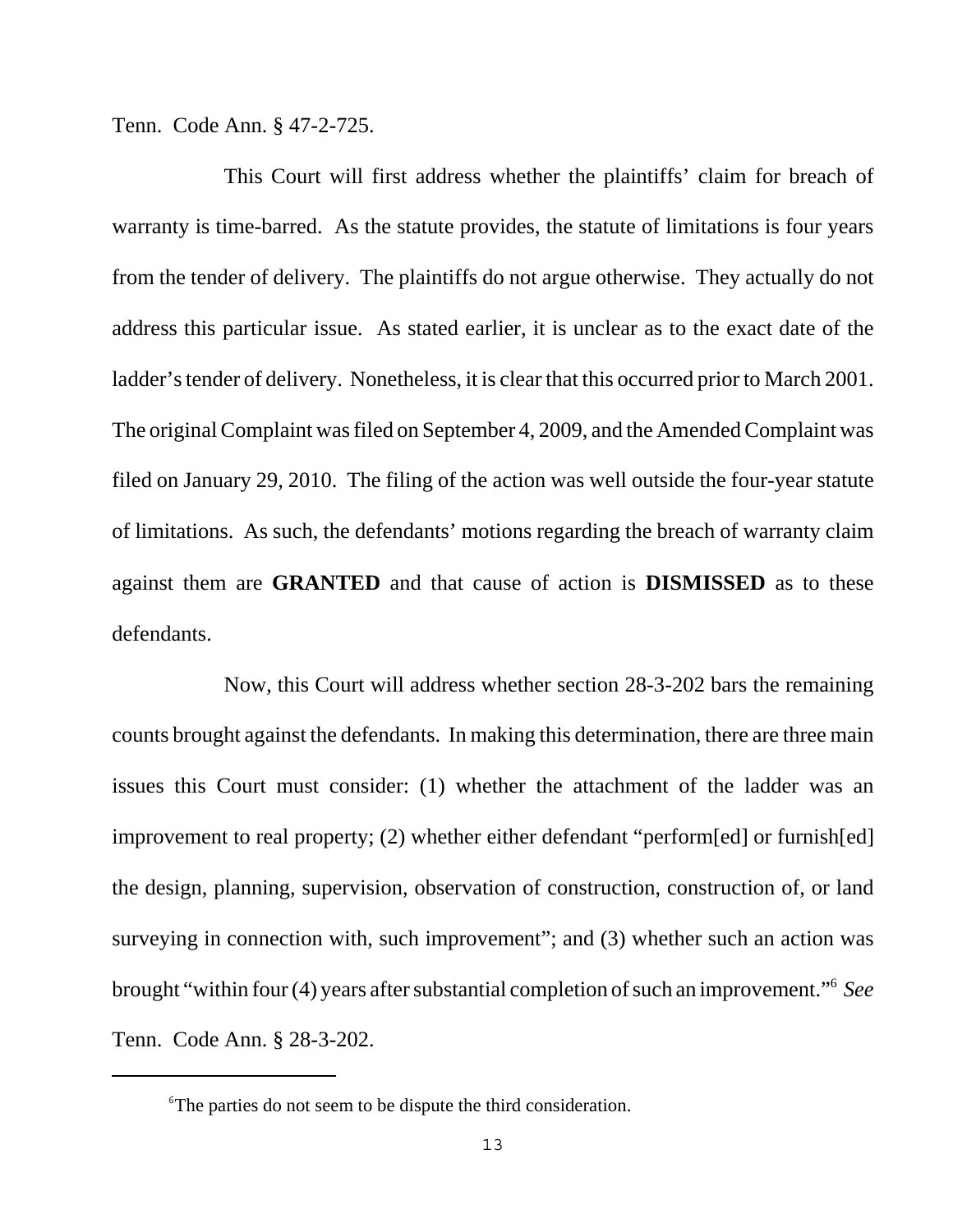Tenn. Code Ann. § 47-2-725.

This Court will first address whether the plaintiffs' claim for breach of warranty is time-barred. As the statute provides, the statute of limitations is four years from the tender of delivery. The plaintiffs do not argue otherwise. They actually do not address this particular issue. As stated earlier, it is unclear as to the exact date of the ladder's tender of delivery. Nonetheless, it is clear that this occurred prior to March 2001. The original Complaint was filed on September 4, 2009, and the Amended Complaint was filed on January 29, 2010. The filing of the action was well outside the four-year statute of limitations. As such, the defendants' motions regarding the breach of warranty claim against them are **GRANTED** and that cause of action is **DISMISSED** as to these defendants.

Now, this Court will address whether section 28-3-202 bars the remaining counts brought against the defendants. In making this determination, there are three main issues this Court must consider: (1) whether the attachment of the ladder was an improvement to real property; (2) whether either defendant "perform[ed] or furnish[ed] the design, planning, supervision, observation of construction, construction of, or land surveying in connection with, such improvement"; and (3) whether such an action was brought "within four (4) years after substantial completion of such an improvement."6 *See* Tenn. Code Ann. § 28-3-202.

<sup>&</sup>lt;sup>6</sup>The parties do not seem to be dispute the third consideration.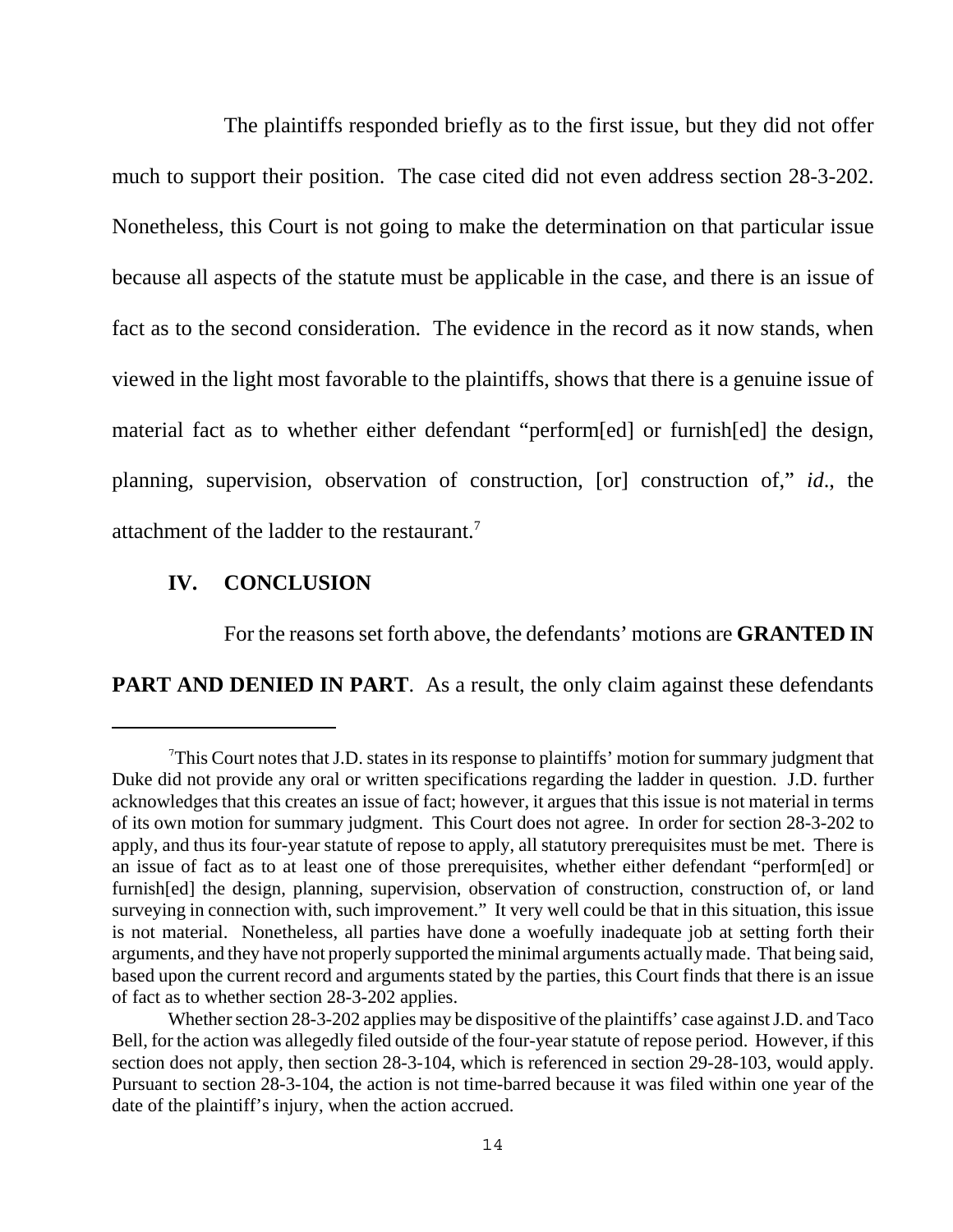The plaintiffs responded briefly as to the first issue, but they did not offer much to support their position. The case cited did not even address section 28-3-202. Nonetheless, this Court is not going to make the determination on that particular issue because all aspects of the statute must be applicable in the case, and there is an issue of fact as to the second consideration. The evidence in the record as it now stands, when viewed in the light most favorable to the plaintiffs, shows that there is a genuine issue of material fact as to whether either defendant "perform[ed] or furnish[ed] the design, planning, supervision, observation of construction, [or] construction of," *id*., the attachment of the ladder to the restaurant.7

### **IV. CONCLUSION**

For the reasons set forth above, the defendants' motions are **GRANTED IN PART AND DENIED IN PART.** As a result, the only claim against these defendants

<sup>&</sup>lt;sup>7</sup>This Court notes that J.D. states in its response to plaintiffs' motion for summary judgment that Duke did not provide any oral or written specifications regarding the ladder in question. J.D. further acknowledges that this creates an issue of fact; however, it argues that this issue is not material in terms of its own motion for summary judgment. This Court does not agree. In order for section 28-3-202 to apply, and thus its four-year statute of repose to apply, all statutory prerequisites must be met. There is an issue of fact as to at least one of those prerequisites, whether either defendant "perform[ed] or furnish[ed] the design, planning, supervision, observation of construction, construction of, or land surveying in connection with, such improvement." It very well could be that in this situation, this issue is not material. Nonetheless, all parties have done a woefully inadequate job at setting forth their arguments, and they have not properly supported the minimal arguments actually made. That being said, based upon the current record and arguments stated by the parties, this Court finds that there is an issue of fact as to whether section 28-3-202 applies.

Whether section 28-3-202 applies may be dispositive of the plaintiffs' case against J.D. and Taco Bell, for the action was allegedly filed outside of the four-year statute of repose period. However, if this section does not apply, then section 28-3-104, which is referenced in section 29-28-103, would apply. Pursuant to section 28-3-104, the action is not time-barred because it was filed within one year of the date of the plaintiff's injury, when the action accrued.